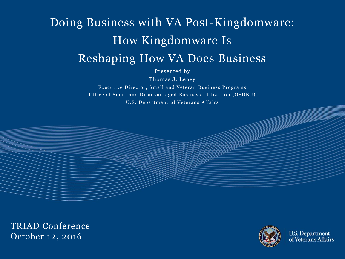# Doing Business with VA Post-Kingdomware: How Kingdomware Is Reshaping How VA Does Business

Presented by

Thomas J. Leney

Executive Director, Small and Veteran Business Programs Office of Small and Disadvantaged Business Utilization (OSDBU) U.S. Department of Veterans Affairs

TRIAD Conference October 12, 2016



**U.S. Department**<br>of Veterans Affairs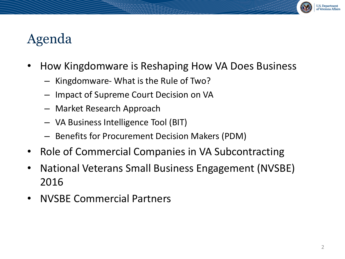# Agenda

- How Kingdomware is Reshaping How VA Does Business
	- Kingdomware- What is the Rule of Two?
	- Impact of Supreme Court Decision on VA
	- Market Research Approach
	- VA Business Intelligence Tool (BIT)
	- Benefits for Procurement Decision Makers (PDM)
- Role of Commercial Companies in VA Subcontracting
- National Veterans Small Business Engagement (NVSBE) 2016
- NVSBE Commercial Partners

**U.S. Department** of Veterans Affair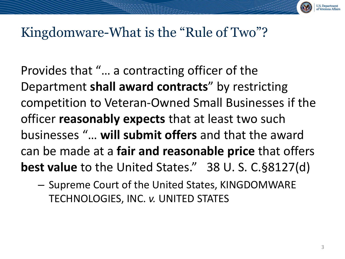

# Kingdomware-What is the "Rule of Two"?

Provides that "… a contracting officer of the Department **shall award contracts**" by restricting competition to Veteran-Owned Small Businesses if the officer **reasonably expects** that at least two such businesses "… **will submit offers** and that the award can be made at a **fair and reasonable price** that offers **best value** to the United States." 38 U. S. C.§8127(d)

– Supreme Court of the United States, KINGDOMWARE TECHNOLOGIES, INC. *v.* UNITED STATES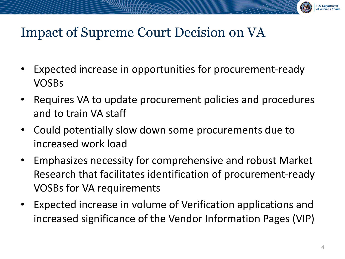

# Impact of Supreme Court Decision on VA

- Expected increase in opportunities for procurement-ready VOSBs
- Requires VA to update procurement policies and procedures and to train VA staff
- Could potentially slow down some procurements due to increased work load
- Emphasizes necessity for comprehensive and robust Market Research that facilitates identification of procurement-ready VOSBs for VA requirements
- Expected increase in volume of Verification applications and increased significance of the Vendor Information Pages (VIP)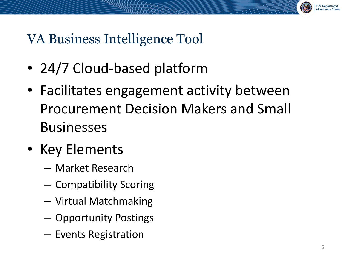

# VA Business Intelligence Tool

- 24/7 Cloud-based platform
- Facilitates engagement activity between Procurement Decision Makers and Small **Businesses**
- Key Elements
	- Market Research
	- Compatibility Scoring
	- Virtual Matchmaking
	- Opportunity Postings
	- Events Registration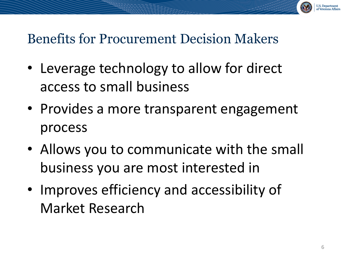

# Benefits for Procurement Decision Makers

- Leverage technology to allow for direct access to small business
- Provides a more transparent engagement process
- Allows you to communicate with the small business you are most interested in
- Improves efficiency and accessibility of Market Research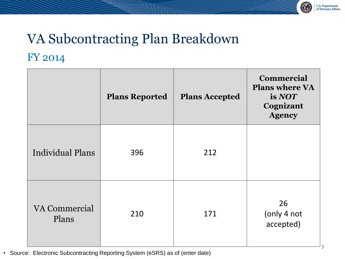

**7**

# VA Subcontracting Plan Breakdown FY 2014

|                         | <b>Plans Reported</b> | <b>Plans Accepted</b> | <b>Commercial</b><br><b>Plans where VA</b><br>is NOT<br>Cognizant<br><b>Agency</b> |
|-------------------------|-----------------------|-----------------------|------------------------------------------------------------------------------------|
| <b>Individual Plans</b> | 396                   | 212                   |                                                                                    |
| VA Commercial<br>Plans  | 210                   | 171                   | 26<br>(only 4 not<br>accepted)                                                     |

• Source: Electronic Subcontracting Reporting System (eSRS) as of (enter date)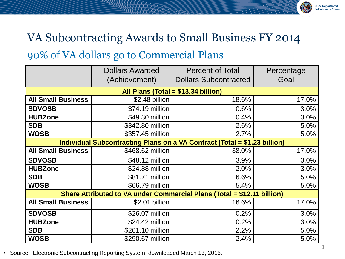# VA Subcontracting Awards to Small Business FY 2014

#### 90% of VA dollars go to Commercial Plans

|                                                                           | <b>Dollars Awarded</b><br>(Achievement) | <b>Percent of Total</b><br><b>Dollars Subcontracted</b> | Percentage<br>Goal |  |
|---------------------------------------------------------------------------|-----------------------------------------|---------------------------------------------------------|--------------------|--|
|                                                                           |                                         |                                                         |                    |  |
| All Plans (Total = $$13.34$ billion)                                      |                                         |                                                         |                    |  |
| <b>All Small Business</b>                                                 | \$2.48 billion                          | 18.6%                                                   | 17.0%              |  |
| <b>SDVOSB</b>                                                             | \$74.19 million                         | 0.6%                                                    | 3.0%               |  |
| <b>HUBZone</b>                                                            | \$49.30 million                         | 0.4%                                                    | 3.0%               |  |
| <b>SDB</b>                                                                | \$342.80 million                        | 2.6%                                                    | 5.0%               |  |
| <b>WOSB</b>                                                               | \$357.45 million                        | 2.7%                                                    | 5.0%               |  |
| Individual Subcontracting Plans on a VA Contract (Total = \$1.23 billion) |                                         |                                                         |                    |  |
| <b>All Small Business</b>                                                 | \$468.62 million                        | 38.0%                                                   | 17.0%              |  |
| <b>SDVOSB</b>                                                             | \$48.12 million                         | 3.9%                                                    | 3.0%               |  |
| <b>HUBZone</b>                                                            | \$24.88 million                         | 2.0%                                                    | 3.0%               |  |
| <b>SDB</b>                                                                | \$81.71 million                         | 6.6%                                                    | 5.0%               |  |
| <b>WOSB</b>                                                               | \$66.79 million                         | 5.4%                                                    | 5.0%               |  |
| Share Attributed to VA under Commercial Plans (Total = \$12.11 billion)   |                                         |                                                         |                    |  |
| <b>All Small Business</b>                                                 | \$2.01 billion                          | 16.6%                                                   | 17.0%              |  |
| <b>SDVOSB</b>                                                             | \$26.07 million                         | 0.2%                                                    | 3.0%               |  |
| <b>HUBZone</b>                                                            | \$24.42 million                         | 0.2%                                                    | 3.0%               |  |
| <b>SDB</b>                                                                | \$261.10 million                        | 2.2%                                                    | 5.0%               |  |
| <b>WOSB</b>                                                               | \$290.67 million                        | 2.4%                                                    | 5.0%               |  |

• Source: Electronic Subcontracting Reporting System, downloaded March 13, 2015.

U.S. Department<br>of Veterans Affairs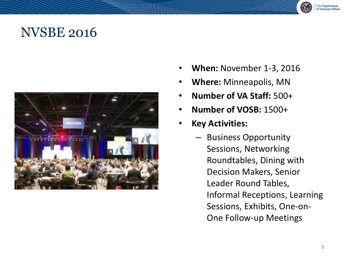#### NVSBE 2016



- **When:** November 1-3, 2016
- **Where:** Minneapolis, MN
- **Number of VA Staff:** 500+
- **Number of VOSB:** 1500+
- **Key Activities:** 
	- Business Opportunity Sessions, Networking Roundtables, Dining with Decision Makers, Senior Leader Round Tables, Informal Receptions, Learning Sessions, Exhibits, One-on-One Follow-up Meetings

U.S. Department<br>of Veterans Affairs